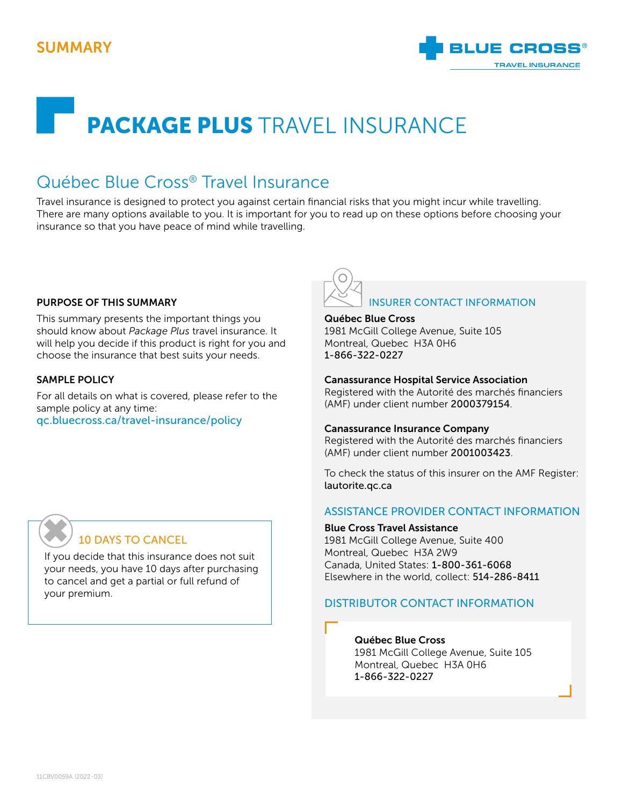## SUMMARY



# PACKAGE PLUS TRAVEL INSURANCE

## Québec Blue Cross® Travel Insurance

Travel insurance is designed to protect you against certain financial risks that you might incur while travelling. There are many options available to you. It is important for you to read up on these options before choosing your insurance so that you have peace of mind while travelling.

#### PURPOSE OF THIS SUMMARY

This summary presents the important things you should know about *Package Plus* travel insurance. It will help you decide if this product is right for you and choose the insurance that best suits your needs.

#### SAMPLE POLICY

For all details on what is covered, please refer to the sample policy at any time: [qc.bluecross.ca/travel-insurance/policy](https://qc.bluecross.ca/travel-insurance/travel-insurance-101/sample-of-insurance-policies)



#### Québec Blue Cross

1981 McGill College Avenue, Suite 105 Montreal, Quebec H3A 0H6 1-866-322-0227

#### Canassurance Hospital Service Association

Registered with the Autorité des marchés financiers (AMF) under client number 2000379154.

#### Canassurance Insurance Company

Registered with the Autorité des marchés financiers (AMF) under client number 2001003423.

To check the status of this insurer on the AMF Register: [lautorite.qc.ca](https://lautorite.qc.ca)

#### ASSISTANCE PROVIDER CONTACT INFORMATION

#### Blue Cross Travel Assistance

1981 McGill College Avenue, Suite 400 Montreal, Quebec H3A 2W9 Canada, United States: 1-800-361-6068 Elsewhere in the world, collect: 514-286-8411

#### DISTRIBUTOR CONTACT INFORMATION

#### Québec Blue Cross

1981 McGill College Avenue, Suite 105 Montreal, Quebec H3A 0H6 1-866-322-0227

## 10 DAYS TO CANCEL ✖

If you decide that this insurance does not suit your needs, you have 10 days after purchasing to cancel and get a partial or full refund of your premium.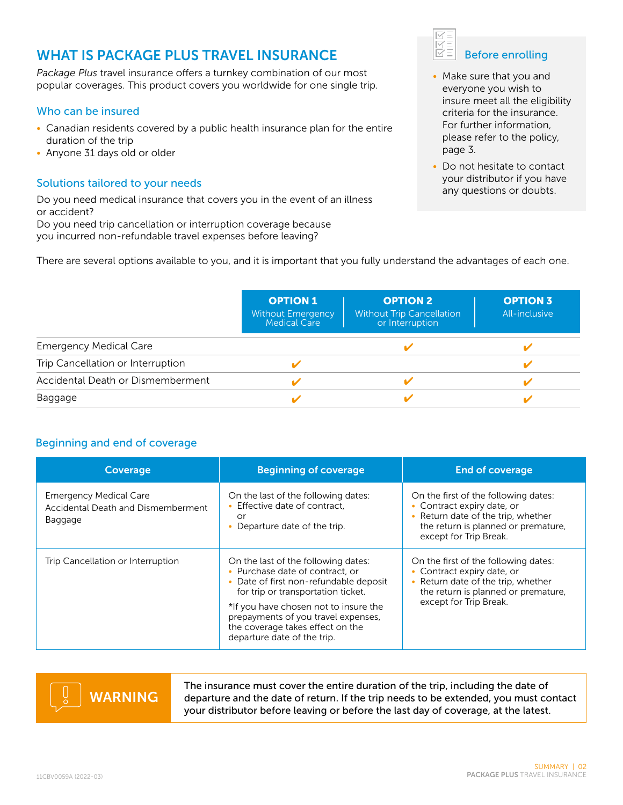## WHAT IS PACKAGE PLUS TRAVEL INSURANCE

*Package Plus* travel insurance offers a turnkey combination of our most popular coverages. This product covers you worldwide for one single trip.

#### Who can be insured

- Canadian residents covered by a public health insurance plan for the entire duration of the trip
- Anyone 31 days old or older

#### Solutions tailored to your needs

Do you need medical insurance that covers you in the event of an illness or accident?

Do you need trip cancellation or interruption coverage because

you incurred non-refundable travel expenses before leaving?



|                                   | <b>OPTION 1</b><br><b>Without Emergency</b><br>Medical Care | <b>OPTION 2</b><br><b>Without Trip Cancellation</b><br>or Interruption | <b>OPTION 3</b><br>All-inclusive |
|-----------------------------------|-------------------------------------------------------------|------------------------------------------------------------------------|----------------------------------|
| <b>Emergency Medical Care</b>     |                                                             |                                                                        |                                  |
| Trip Cancellation or Interruption |                                                             |                                                                        |                                  |
| Accidental Death or Dismemberment |                                                             |                                                                        |                                  |
| Baggage                           |                                                             |                                                                        |                                  |

#### Beginning and end of coverage

| Coverage                                                                       | <b>Beginning of coverage</b>                                                                                                                                                                                                                                                                            | <b>End of coverage</b>                                                                                                                                                    |  |  |
|--------------------------------------------------------------------------------|---------------------------------------------------------------------------------------------------------------------------------------------------------------------------------------------------------------------------------------------------------------------------------------------------------|---------------------------------------------------------------------------------------------------------------------------------------------------------------------------|--|--|
| <b>Emergency Medical Care</b><br>Accidental Death and Dismemberment<br>Baggage | On the last of the following dates:<br>• Effective date of contract.<br>or<br>Departure date of the trip.                                                                                                                                                                                               | On the first of the following dates:<br>• Contract expiry date, or<br>• Return date of the trip, whether<br>the return is planned or premature,<br>except for Trip Break. |  |  |
| Trip Cancellation or Interruption                                              | On the last of the following dates:<br>• Purchase date of contract, or<br>Date of first non-refundable deposit<br>for trip or transportation ticket.<br>*If you have chosen not to insure the<br>prepayments of you travel expenses,<br>the coverage takes effect on the<br>departure date of the trip. |                                                                                                                                                                           |  |  |

# WARNING

The insurance must cover the entire duration of the trip, including the date of departure and the date of return. If the trip needs to be extended, you must contact your distributor before leaving or before the last day of coverage, at the latest.



- Make sure that you and everyone you wish to insure meet all the eligibility criteria for the insurance. For further information, please refer to the policy, page 3.
- Do not hesitate to contact your distributor if you have any questions or doubts.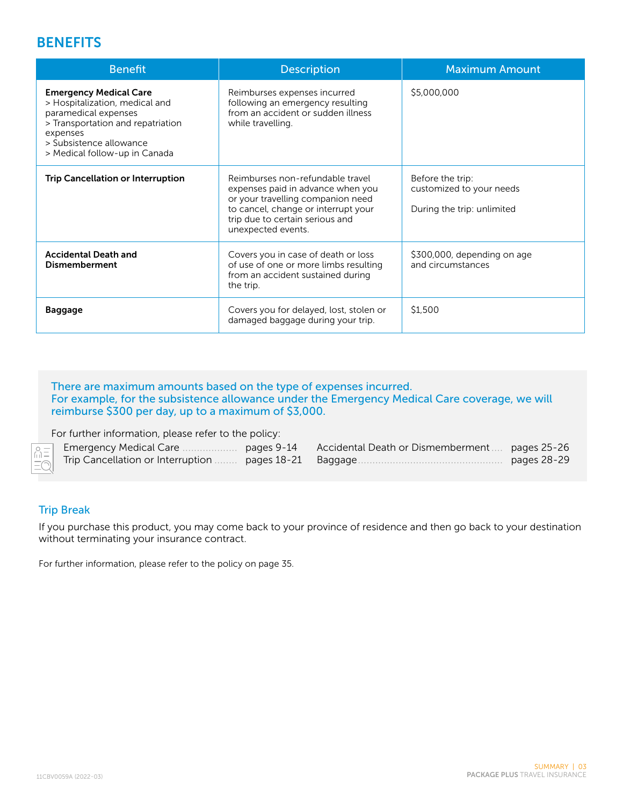### **BENEFITS**

| <b>Benefit</b>                                                                                                                                                                                       | <b>Description</b>                                                                                                                                                                                         | <b>Maximum Amount</b>                                                      |
|------------------------------------------------------------------------------------------------------------------------------------------------------------------------------------------------------|------------------------------------------------------------------------------------------------------------------------------------------------------------------------------------------------------------|----------------------------------------------------------------------------|
| <b>Emergency Medical Care</b><br>> Hospitalization, medical and<br>paramedical expenses<br>> Transportation and repatriation<br>expenses<br>> Subsistence allowance<br>> Medical follow-up in Canada | Reimburses expenses incurred<br>following an emergency resulting<br>from an accident or sudden illness<br>while travelling.                                                                                | \$5,000,000                                                                |
| <b>Trip Cancellation or Interruption</b>                                                                                                                                                             | Reimburses non-refundable travel<br>expenses paid in advance when you<br>or your travelling companion need<br>to cancel, change or interrupt your<br>trip due to certain serious and<br>unexpected events. | Before the trip:<br>customized to your needs<br>During the trip: unlimited |
| <b>Accidental Death and</b><br><b>Dismemberment</b>                                                                                                                                                  | Covers you in case of death or loss<br>of use of one or more limbs resulting<br>from an accident sustained during<br>the trip.                                                                             | \$300,000, depending on age<br>and circumstances                           |
| <b>Baggage</b>                                                                                                                                                                                       | Covers you for delayed, lost, stolen or<br>damaged baggage during your trip.                                                                                                                               | \$1,500                                                                    |

#### There are maximum amounts based on the type of expenses incurred. For example, for the subsistence allowance under the Emergency Medical Care coverage, we will reimburse \$300 per day, up to a maximum of \$3,000.

For further information, please refer to the policy:

#### Trip Break

If you purchase this product, you may come back to your province of residence and then go back to your destination without terminating your insurance contract.

For further information, please refer to the policy on page 35.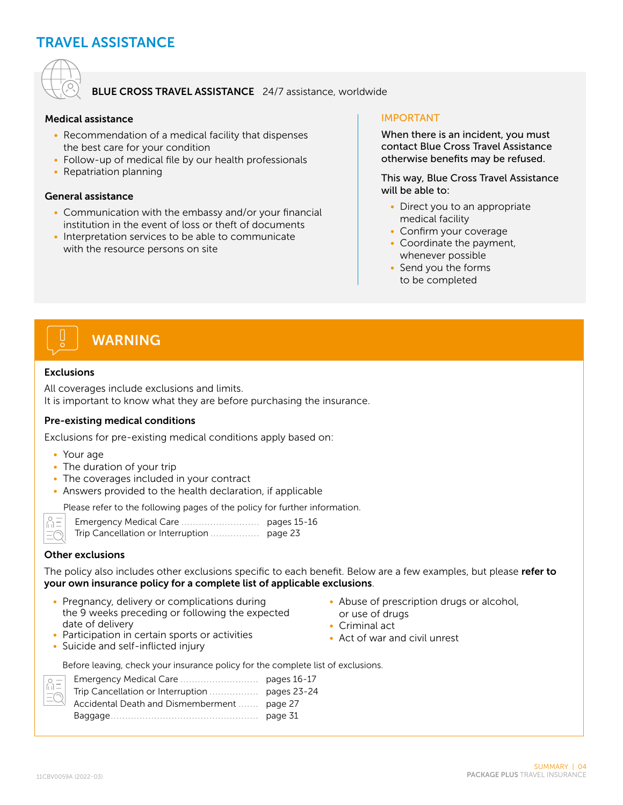## TRAVEL ASSISTANCE



#### BLUE CROSS TRAVEL ASSISTANCE 24/7 assistance, worldwide

#### Medical assistance

- Recommendation of a medical facility that dispenses the best care for your condition
- Follow-up of medical file by our health professionals
- Repatriation planning

#### General assistance

- Communication with the embassy and/or your financial institution in the event of loss or theft of documents
- Interpretation services to be able to communicate with the resource persons on site

#### IMPORTANT

When there is an incident, you must contact Blue Cross Travel Assistance otherwise benefits may be refused.

This way, Blue Cross Travel Assistance will be able to:

- Direct you to an appropriate medical facility
- Confirm your coverage
- Coordinate the payment, whenever possible
- Send you the forms to be completed

# WARNING

#### Exclusions

All coverages include exclusions and limits. It is important to know what they are before purchasing the insurance.

#### Pre-existing medical conditions

Exclusions for pre-existing medical conditions apply based on:

- Your age
- The duration of your trip
- The coverages included in your contract
- Answers provided to the health declaration, if applicable

Please refer to the following pages of the policy for further information.

 $\bigcap_{|I|=1}^O$  $\equiv$ 

| Emergency Medical Care | pages 15-16 |
|------------------------|-------------|
|                        |             |

#### Other exclusions

The policy also includes other exclusions specific to each benefit. Below are a few examples, but please refer to your own insurance policy for a complete list of applicable exclusions.

- Pregnancy, delivery or complications during the 9 weeks preceding or following the expected date of delivery
- Abuse of prescription drugs or alcohol, or use of drugs
- Criminal act
- Act of war and civil unrest
- Participation in certain sports or activities • Suicide and self-inflicted injury

|  |  |  |  |  |  |  | Before leaving, check your insurance policy for the complete list of exclusions. |
|--|--|--|--|--|--|--|----------------------------------------------------------------------------------|
|--|--|--|--|--|--|--|----------------------------------------------------------------------------------|

| $\equiv$ |                                             |  |
|----------|---------------------------------------------|--|
|          |                                             |  |
| $\geq$   | Accidental Death and Dismemberment  page 27 |  |
|          |                                             |  |